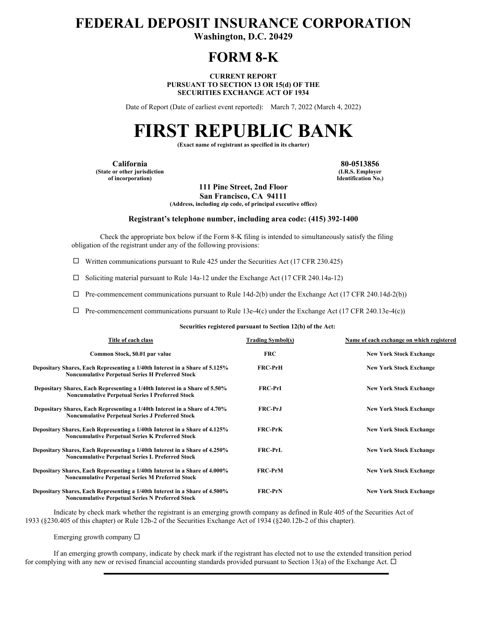# **FEDERAL DEPOSIT INSURANCE CORPORATION**

**Washington, D.C. 20429** 

## **FORM 8-K**

**CURRENT REPORT PURSUANT TO SECTION 13 OR 15(d) OF THE SECURITIES EXCHANGE ACT OF 1934** 

Date of Report (Date of earliest event reported): March 7, 2022 (March 4, 2022)

# **FIRST REPUBLIC BANK**

**(Exact name of registrant as specified in its charter)** 

**California 80-0513856 (State or other jurisdiction of incorporation)**

**(I.R.S. Employer Identification No.)**

**111 Pine Street, 2nd Floor San Francisco, CA 94111** 

**(Address, including zip code, of principal executive office)** 

#### **Registrant's telephone number, including area code: (415) 392-1400**

 Check the appropriate box below if the Form 8-K filing is intended to simultaneously satisfy the filing obligation of the registrant under any of the following provisions:

 $\Box$  Written communications pursuant to Rule 425 under the Securities Act (17 CFR 230.425)

 $\Box$  Soliciting material pursuant to Rule 14a-12 under the Exchange Act (17 CFR 240.14a-12)

 $\Box$  Pre-commencement communications pursuant to Rule 14d-2(b) under the Exchange Act (17 CFR 240.14d-2(b))

 $\Box$  Pre-commencement communications pursuant to Rule 13e-4(c) under the Exchange Act (17 CFR 240.13e-4(c))

**Securities registered pursuant to Section 12(b) of the Act:** 

| Title of each class                                                                                                                    | <b>Trading Symbol(s)</b> | Name of each exchange on which registered |
|----------------------------------------------------------------------------------------------------------------------------------------|--------------------------|-------------------------------------------|
| Common Stock, \$0.01 par value                                                                                                         | <b>FRC</b>               | <b>New York Stock Exchange</b>            |
| Depositary Shares, Each Representing a 1/40th Interest in a Share of 5.125%<br><b>Noncumulative Perpetual Series H Preferred Stock</b> | <b>FRC-PrH</b>           | <b>New York Stock Exchange</b>            |
| Depositary Shares, Each Representing a 1/40th Interest in a Share of 5.50%<br><b>Noncumulative Perpetual Series I Preferred Stock</b>  | <b>FRC-PrI</b>           | <b>New York Stock Exchange</b>            |
| Depositary Shares, Each Representing a 1/40th Interest in a Share of 4.70%<br><b>Noncumulative Perpetual Series J Preferred Stock</b>  | <b>FRC-PrJ</b>           | <b>New York Stock Exchange</b>            |
| Depositary Shares, Each Representing a 1/40th Interest in a Share of 4.125%<br><b>Noncumulative Perpetual Series K Preferred Stock</b> | <b>FRC-PrK</b>           | <b>New York Stock Exchange</b>            |
| Depositary Shares, Each Representing a 1/40th Interest in a Share of 4.250%<br><b>Noncumulative Perpetual Series L Preferred Stock</b> | <b>FRC-PrL</b>           | <b>New York Stock Exchange</b>            |
| Depositary Shares, Each Representing a 1/40th Interest in a Share of 4.000%<br><b>Noncumulative Perpetual Series M Preferred Stock</b> | <b>FRC-PrM</b>           | <b>New York Stock Exchange</b>            |
| Depositary Shares, Each Representing a 1/40th Interest in a Share of 4.500%<br><b>Noncumulative Pernetual Series N Preferred Stock</b> | <b>FRC-PrN</b>           | <b>New York Stock Exchange</b>            |

Indicate by check mark whether the registrant is an emerging growth company as defined in Rule 405 of the Securities Act of 1933 (§230.405 of this chapter) or Rule 12b-2 of the Securities Exchange Act of 1934 (§240.12b-2 of this chapter).

Emerging growth company  $\square$ 

If an emerging growth company, indicate by check mark if the registrant has elected not to use the extended transition period for complying with any new or revised financial accounting standards provided pursuant to Section 13(a) of the Exchange Act.  $\Box$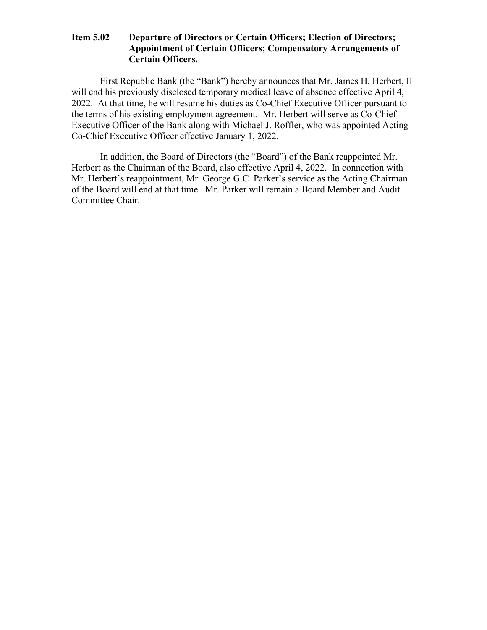### **Item 5.02 Departure of Directors or Certain Officers; Election of Directors; Appointment of Certain Officers; Compensatory Arrangements of Certain Officers.**

First Republic Bank (the "Bank") hereby announces that Mr. James H. Herbert, II will end his previously disclosed temporary medical leave of absence effective April 4, 2022. At that time, he will resume his duties as Co-Chief Executive Officer pursuant to the terms of his existing employment agreement. Mr. Herbert will serve as Co-Chief Executive Officer of the Bank along with Michael J. Roffler, who was appointed Acting Co-Chief Executive Officer effective January 1, 2022.

In addition, the Board of Directors (the "Board") of the Bank reappointed Mr. Herbert as the Chairman of the Board, also effective April 4, 2022. In connection with Mr. Herbert's reappointment, Mr. George G.C. Parker's service as the Acting Chairman of the Board will end at that time. Mr. Parker will remain a Board Member and Audit Committee Chair.